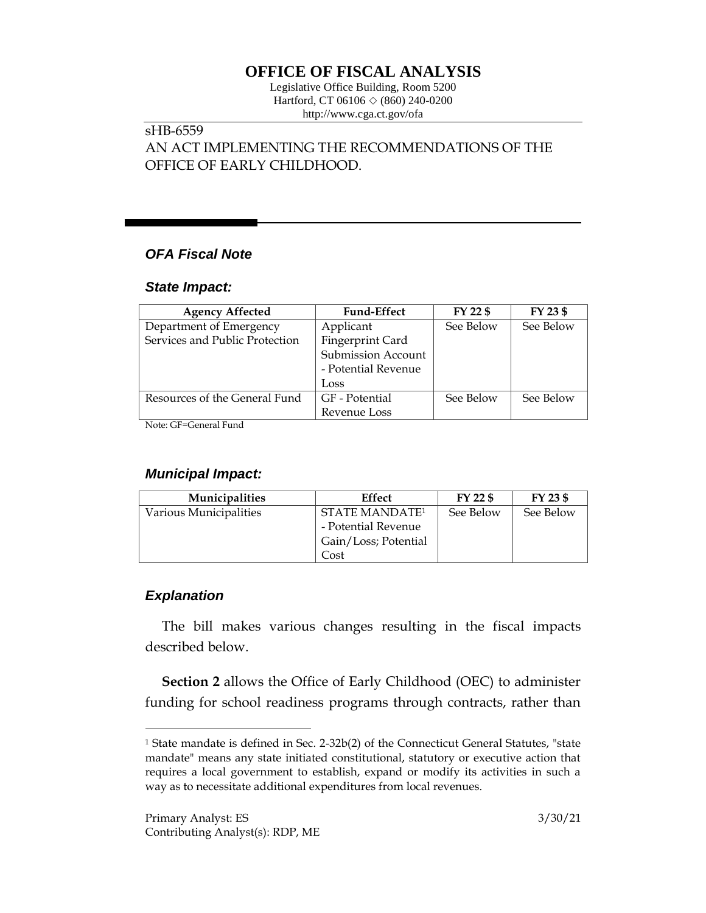# **OFFICE OF FISCAL ANALYSIS**

Legislative Office Building, Room 5200 Hartford, CT 06106  $\Diamond$  (860) 240-0200 http://www.cga.ct.gov/ofa

#### sHB-6559 AN ACT IMPLEMENTING THE RECOMMENDATIONS OF THE OFFICE OF EARLY CHILDHOOD.

### *OFA Fiscal Note*

#### *State Impact:*

| <b>Agency Affected</b>         | <b>Fund-Effect</b>        | FY 22 \$  | FY 23 \$  |
|--------------------------------|---------------------------|-----------|-----------|
| Department of Emergency        | Applicant                 | See Below | See Below |
| Services and Public Protection | Fingerprint Card          |           |           |
|                                | <b>Submission Account</b> |           |           |
|                                | - Potential Revenue       |           |           |
|                                | Loss                      |           |           |
| Resources of the General Fund  | GF - Potential            | See Below | See Below |
|                                | Revenue Loss              |           |           |

Note: GF=General Fund

### *Municipal Impact:*

| <b>Municipalities</b>  | Effect                           | FY 22 \$  | FY 23 \$  |
|------------------------|----------------------------------|-----------|-----------|
| Various Municipalities | <b>STATE MANDATE<sup>1</sup></b> | See Below | See Below |
|                        | - Potential Revenue              |           |           |
|                        | Gain/Loss; Potential             |           |           |
|                        | Cost                             |           |           |

## *Explanation*

 $\overline{a}$ 

The bill makes various changes resulting in the fiscal impacts described below.

**Section 2** allows the Office of Early Childhood (OEC) to administer funding for school readiness programs through contracts, rather than

<sup>1</sup> State mandate is defined in Sec. 2-32b(2) of the Connecticut General Statutes, "state mandate" means any state initiated constitutional, statutory or executive action that requires a local government to establish, expand or modify its activities in such a way as to necessitate additional expenditures from local revenues.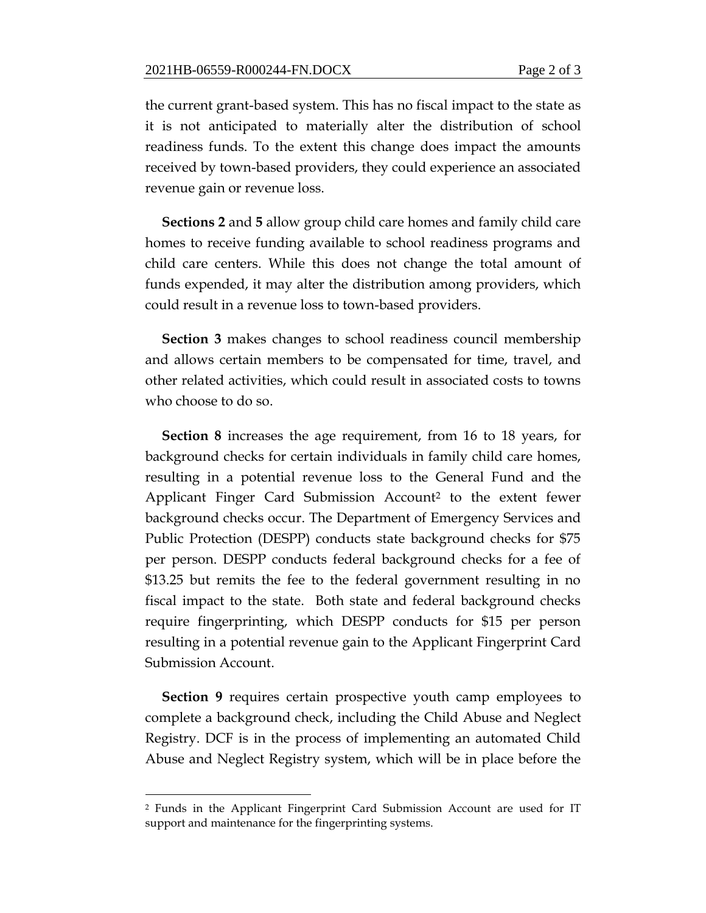the current grant-based system. This has no fiscal impact to the state as it is not anticipated to materially alter the distribution of school readiness funds. To the extent this change does impact the amounts received by town-based providers, they could experience an associated revenue gain or revenue loss.

**Sections 2** and **5** allow group child care homes and family child care homes to receive funding available to school readiness programs and child care centers. While this does not change the total amount of funds expended, it may alter the distribution among providers, which could result in a revenue loss to town-based providers.

**Section 3** makes changes to school readiness council membership and allows certain members to be compensated for time, travel, and other related activities, which could result in associated costs to towns who choose to do so.

**Section 8** increases the age requirement, from 16 to 18 years, for background checks for certain individuals in family child care homes, resulting in a potential revenue loss to the General Fund and the Applicant Finger Card Submission Account<sup>2</sup> to the extent fewer background checks occur. The Department of Emergency Services and Public Protection (DESPP) conducts state background checks for \$75 per person. DESPP conducts federal background checks for a fee of \$13.25 but remits the fee to the federal government resulting in no fiscal impact to the state. Both state and federal background checks require fingerprinting, which DESPP conducts for \$15 per person resulting in a potential revenue gain to the Applicant Fingerprint Card Submission Account.

**Section 9** requires certain prospective youth camp employees to complete a background check, including the Child Abuse and Neglect Registry. DCF is in the process of implementing an automated Child Abuse and Neglect Registry system, which will be in place before the

 $\overline{a}$ 

<sup>2</sup> Funds in the Applicant Fingerprint Card Submission Account are used for IT support and maintenance for the fingerprinting systems.